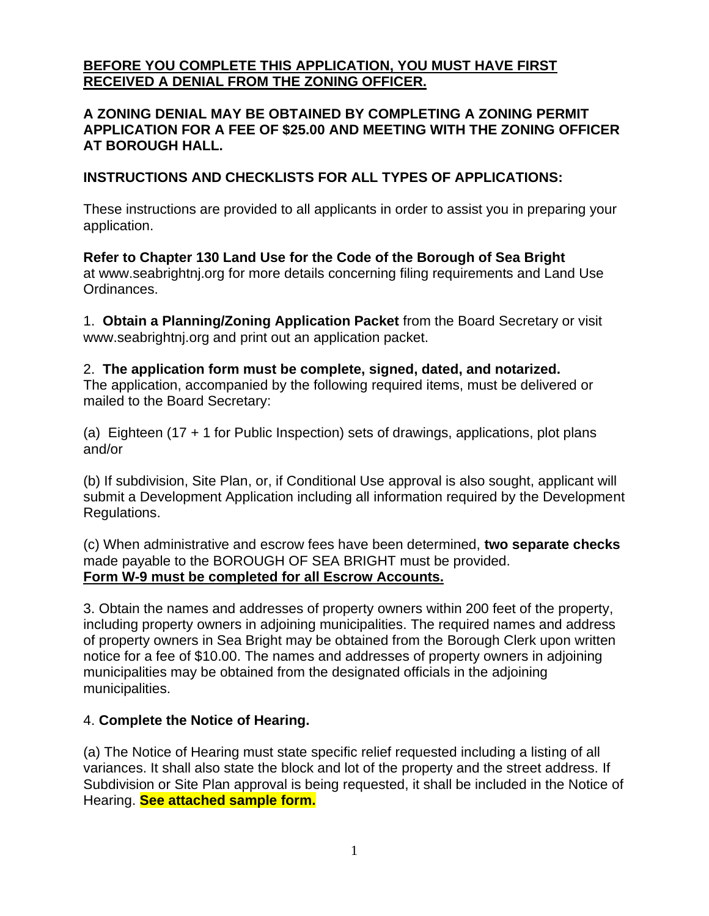# **BEFORE YOU COMPLETE THIS APPLICATION, YOU MUST HAVE FIRST RECEIVED A DENIAL FROM THE ZONING OFFICER.**

### **A ZONING DENIAL MAY BE OBTAINED BY COMPLETING A ZONING PERMIT APPLICATION FOR A FEE OF \$25.00 AND MEETING WITH THE ZONING OFFICER AT BOROUGH HALL.**

## **INSTRUCTIONS AND CHECKLISTS FOR ALL TYPES OF APPLICATIONS:**

These instructions are provided to all applicants in order to assist you in preparing your application.

**Refer to Chapter 130 Land Use for the Code of the Borough of Sea Bright** at [www.seabrightnj.org](http://www.seabrightnj.org/) for more details concerning filing requirements and Land Use Ordinances.

1. **Obtain a Planning/Zoning Application Packet** from the Board Secretary or visit [www.seabrightnj.org](http://www.seabrightnj.org/) and print out an application packet.

# 2. **The application form must be complete, signed, dated, and notarized.**

The application, accompanied by the following required items, must be delivered or mailed to the Board Secretary:

(a) Eighteen (17 + 1 for Public Inspection) sets of drawings, applications, plot plans and/or

(b) If subdivision, Site Plan, or, if Conditional Use approval is also sought, applicant will submit a Development Application including all information required by the Development Regulations.

(c) When administrative and escrow fees have been determined, **two separate checks** made payable to the BOROUGH OF SEA BRIGHT must be provided. **Form W-9 must be completed for all Escrow Accounts.**

3. Obtain the names and addresses of property owners within 200 feet of the property, including property owners in adjoining municipalities. The required names and address of property owners in Sea Bright may be obtained from the Borough Clerk upon written notice for a fee of \$10.00. The names and addresses of property owners in adjoining municipalities may be obtained from the designated officials in the adjoining municipalities.

## 4. **Complete the Notice of Hearing.**

(a) The Notice of Hearing must state specific relief requested including a listing of all variances. It shall also state the block and lot of the property and the street address. If Subdivision or Site Plan approval is being requested, it shall be included in the Notice of Hearing. **See attached sample form.**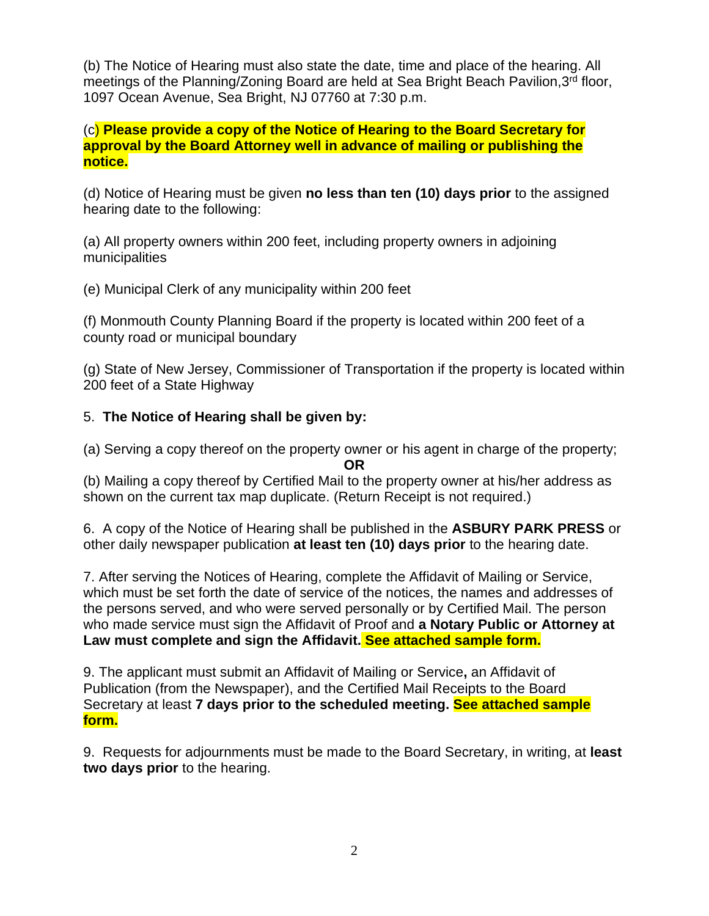(b) The Notice of Hearing must also state the date, time and place of the hearing. All meetings of the Planning/Zoning Board are held at Sea Bright Beach Pavilion, 3rd floor, 1097 Ocean Avenue, Sea Bright, NJ 07760 at 7:30 p.m.

(c) **Please provide a copy of the Notice of Hearing to the Board Secretary for approval by the Board Attorney well in advance of mailing or publishing the notice.**

(d) Notice of Hearing must be given **no less than ten (10) days prior** to the assigned hearing date to the following:

(a) All property owners within 200 feet, including property owners in adjoining municipalities

(e) Municipal Clerk of any municipality within 200 feet

(f) Monmouth County Planning Board if the property is located within 200 feet of a county road or municipal boundary

(g) State of New Jersey, Commissioner of Transportation if the property is located within 200 feet of a State Highway

# 5. **The Notice of Hearing shall be given by:**

(a) Serving a copy thereof on the property owner or his agent in charge of the property; **OR**

(b) Mailing a copy thereof by Certified Mail to the property owner at his/her address as shown on the current tax map duplicate. (Return Receipt is not required.)

6. A copy of the Notice of Hearing shall be published in the **ASBURY PARK PRESS** or other daily newspaper publication **at least ten (10) days prior** to the hearing date.

7. After serving the Notices of Hearing, complete the Affidavit of Mailing or Service, which must be set forth the date of service of the notices, the names and addresses of the persons served, and who were served personally or by Certified Mail. The person who made service must sign the Affidavit of Proof and **a Notary Public or Attorney at Law must complete and sign the Affidavit. See attached sample form.**

9. The applicant must submit an Affidavit of Mailing or Service**,** an Affidavit of Publication (from the Newspaper), and the Certified Mail Receipts to the Board Secretary at least **7 days prior to the scheduled meeting. See attached sample form.**

9. Requests for adjournments must be made to the Board Secretary, in writing, at **least two days prior** to the hearing.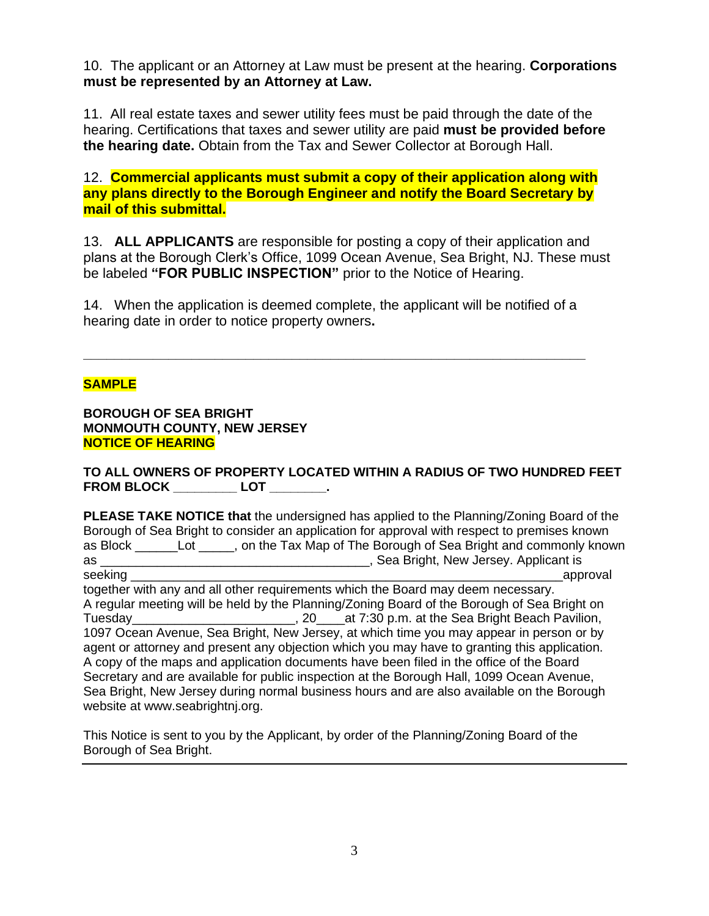10. The applicant or an Attorney at Law must be present at the hearing. **Corporations must be represented by an Attorney at Law.** 

11. All real estate taxes and sewer utility fees must be paid through the date of the hearing. Certifications that taxes and sewer utility are paid **must be provided before the hearing date.** Obtain from the Tax and Sewer Collector at Borough Hall.

12. **Commercial applicants must submit a copy of their application along with any plans directly to the Borough Engineer and notify the Board Secretary by mail of this submittal.**

13. **ALL APPLICANTS** are responsible for posting a copy of their application and plans at the Borough Clerk's Office, 1099 Ocean Avenue, Sea Bright, NJ. These must be labeled **"FOR PUBLIC INSPECTION"** prior to the Notice of Hearing.

14. When the application is deemed complete, the applicant will be notified of a hearing date in order to notice property owners**.**

**\_\_\_\_\_\_\_\_\_\_\_\_\_\_\_\_\_\_\_\_\_\_\_\_\_\_\_\_\_\_\_\_\_\_\_\_\_\_\_\_\_\_\_\_\_\_\_\_\_\_\_\_\_\_\_\_\_\_\_\_\_\_\_\_\_**

### **SAMPLE**

**BOROUGH OF SEA BRIGHT MONMOUTH COUNTY, NEW JERSEY NOTICE OF HEARING**

**TO ALL OWNERS OF PROPERTY LOCATED WITHIN A RADIUS OF TWO HUNDRED FEET FROM BLOCK \_\_\_\_\_\_\_\_\_ LOT \_\_\_\_\_\_\_\_.** 

**PLEASE TAKE NOTICE that** the undersigned has applied to the Planning/Zoning Board of the Borough of Sea Bright to consider an application for approval with respect to premises known as Block \_\_\_\_\_\_Lot \_\_\_\_\_, on the Tax Map of The Borough of Sea Bright and commonly known as \_\_\_\_\_\_\_\_\_\_\_\_\_\_\_\_\_\_\_\_\_\_\_\_\_\_\_\_\_\_\_\_\_\_\_\_\_\_, Sea Bright, New Jersey. Applicant is seeking **the contract of the contract of the contract of the contract of the contract of the contract of the contract of the contract of the contract of the contract of the contract of the contract of the contract of the c** together with any and all other requirements which the Board may deem necessary. A regular meeting will be held by the Planning/Zoning Board of the Borough of Sea Bright on Tuesday\_\_\_\_\_\_\_\_\_\_\_\_\_\_\_\_\_\_\_\_\_\_\_, 20\_\_\_\_at 7:30 p.m. at the Sea Bright Beach Pavilion, 1097 Ocean Avenue, Sea Bright, New Jersey, at which time you may appear in person or by agent or attorney and present any objection which you may have to granting this application. A copy of the maps and application documents have been filed in the office of the Board Secretary and are available for public inspection at the Borough Hall, 1099 Ocean Avenue, Sea Bright, New Jersey during normal business hours and are also available on the Borough website at [www.seabrightnj.org.](http://www.seabrightnj.org/)

This Notice is sent to you by the Applicant, by order of the Planning/Zoning Board of the Borough of Sea Bright.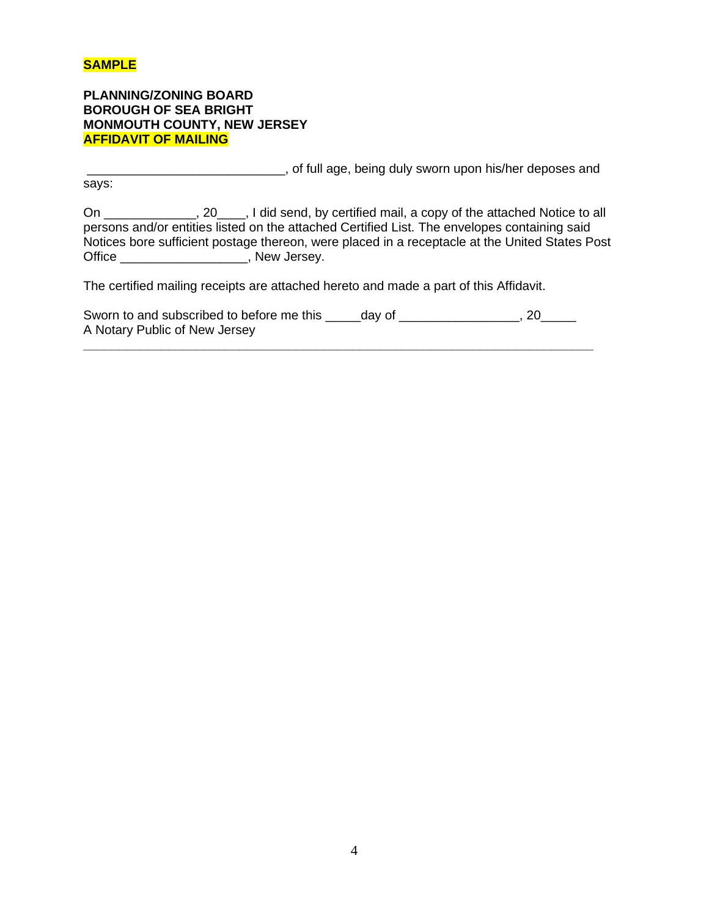### **SAMPLE**

**PLANNING/ZONING BOARD BOROUGH OF SEA BRIGHT MONMOUTH COUNTY, NEW JERSEY AFFIDAVIT OF MAILING**

\_\_\_\_\_\_\_\_\_\_\_\_\_\_\_\_\_\_\_\_\_\_\_\_\_\_\_\_, of full age, being duly sworn upon his/her deposes and

says:

On \_\_\_\_\_\_\_\_\_\_\_\_\_, 20\_\_\_\_, I did send, by certified mail, a copy of the attached Notice to all persons and/or entities listed on the attached Certified List. The envelopes containing said Notices bore sufficient postage thereon, were placed in a receptacle at the United States Post Office \_\_\_\_\_\_\_\_\_\_\_\_\_\_\_\_\_\_, New Jersey.

The certified mailing receipts are attached hereto and made a part of this Affidavit.

| Sworn to and subscribed to before me this | day of | 20 |
|-------------------------------------------|--------|----|
| A Notary Public of New Jersey             |        |    |

**\_\_\_\_\_\_\_\_\_\_\_\_\_\_\_\_\_\_\_\_\_\_\_\_\_\_\_\_\_\_\_\_\_\_\_\_\_\_\_\_\_\_\_\_\_\_\_\_\_\_\_\_\_\_\_\_\_\_\_\_\_\_\_\_\_\_\_\_\_\_\_\_**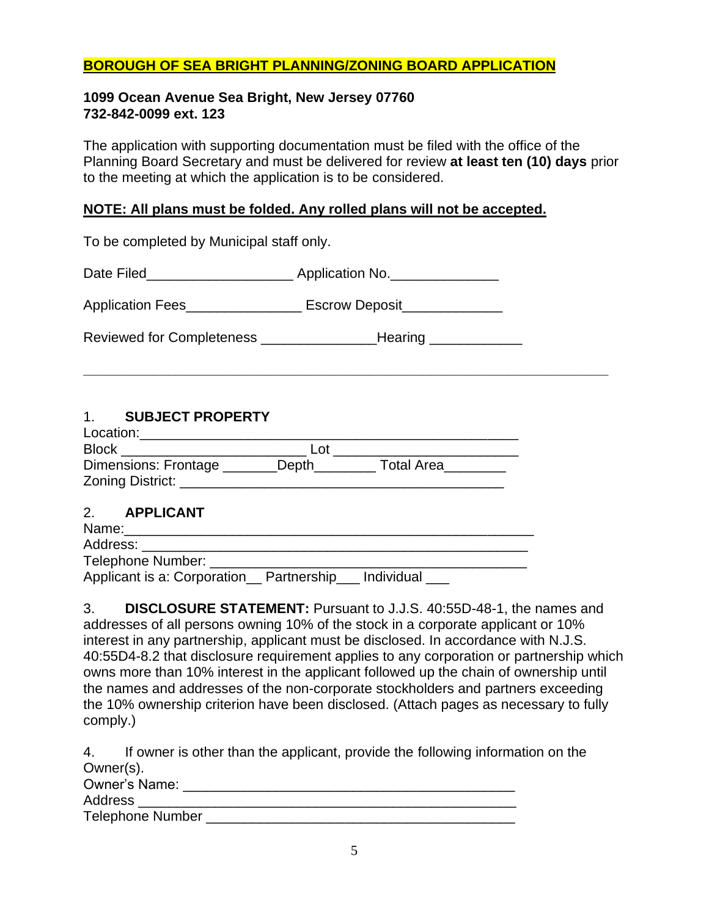# **BOROUGH OF SEA BRIGHT PLANNING/ZONING BOARD APPLICATION**

### **1099 Ocean Avenue Sea Bright, New Jersey 07760 732-842-0099 ext. 123**

The application with supporting documentation must be filed with the office of the Planning Board Secretary and must be delivered for review **at least ten (10) days** prior to the meeting at which the application is to be considered.

**\_\_\_\_\_\_\_\_\_\_\_\_\_\_\_\_\_\_\_\_\_\_\_\_\_\_\_\_\_\_\_\_\_\_\_\_\_\_\_\_\_\_\_\_\_\_\_\_\_\_\_\_\_\_\_\_\_\_\_\_\_\_\_\_\_\_\_\_**

### **NOTE: All plans must be folded. Any rolled plans will not be accepted.**

To be completed by Municipal staff only. Date Filed\_\_\_\_\_\_\_\_\_\_\_\_\_\_\_\_\_\_\_\_\_\_\_\_\_ Application No.\_\_\_\_\_\_\_\_\_\_\_\_\_\_\_\_\_\_\_\_\_\_\_\_\_\_\_\_\_ Application Fees\_\_\_\_\_\_\_\_\_\_\_\_\_\_\_\_\_\_\_ Escrow Deposit\_\_\_\_\_\_\_\_\_\_\_\_\_\_\_\_\_\_\_\_\_\_\_\_\_\_\_\_\_\_

Reviewed for Completeness \_\_\_\_\_\_\_\_\_\_\_\_\_\_\_Hearing \_\_\_\_\_\_\_\_\_\_\_\_

## 1. **SUBJECT PROPERTY**

| Location:                                       |       |                   |
|-------------------------------------------------|-------|-------------------|
| <b>Block</b>                                    | ∟ot   |                   |
| <b>Dimensions: Frontage</b><br>Zoning District: | Depth | <b>Total Area</b> |

### 2. **APPLICANT**

Name:\_\_\_\_\_\_\_\_\_\_\_\_\_\_\_\_\_\_\_\_\_\_\_\_\_\_\_\_\_\_\_\_\_\_\_\_\_\_\_\_\_\_\_\_\_\_\_\_\_\_\_\_\_ Address: Telephone Number: Applicant is a: Corporation \_\_ Partnership \_\_\_ Individual

3. **DISCLOSURE STATEMENT:** Pursuant to J.J.S. 40:55D-48-1, the names and addresses of all persons owning 10% of the stock in a corporate applicant or 10% interest in any partnership, applicant must be disclosed. In accordance with N.J.S. 40:55D4-8.2 that disclosure requirement applies to any corporation or partnership which owns more than 10% interest in the applicant followed up the chain of ownership until the names and addresses of the non-corporate stockholders and partners exceeding the 10% ownership criterion have been disclosed. (Attach pages as necessary to fully comply.)

4. If owner is other than the applicant, provide the following information on the Owner(s).

| <b>Owner's Name:</b>    |  |
|-------------------------|--|
| Address                 |  |
| <b>Telephone Number</b> |  |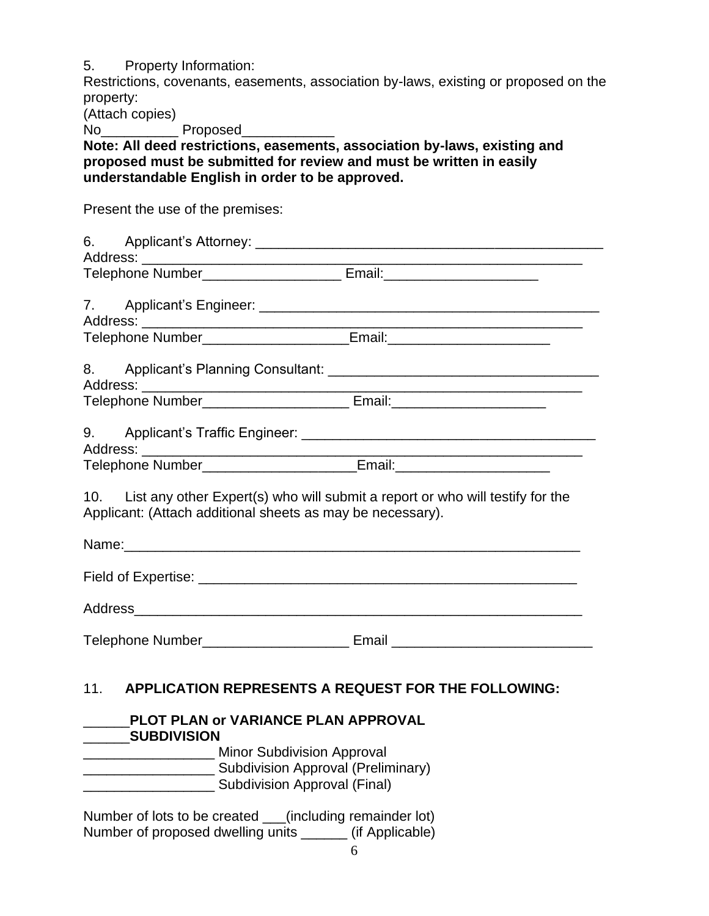5. Property Information:

Restrictions, covenants, easements, association by-laws, existing or proposed on the property:

(Attach copies)

No<sub>ck</sub> Proposed

**Note: All deed restrictions, easements, association by-laws, existing and proposed must be submitted for review and must be written in easily understandable English in order to be approved.** 

Present the use of the premises:

|     |                                                                                                                                                                                   | <u> 1980 - Johann John Stone, mars eta bat eta bat eta bat eta bat ez arte eta bat ez arte eta bat ez arte eta b</u> |
|-----|-----------------------------------------------------------------------------------------------------------------------------------------------------------------------------------|----------------------------------------------------------------------------------------------------------------------|
|     |                                                                                                                                                                                   |                                                                                                                      |
|     |                                                                                                                                                                                   |                                                                                                                      |
|     | Telephone Number_______________________Email:___________________________________                                                                                                  |                                                                                                                      |
|     |                                                                                                                                                                                   |                                                                                                                      |
|     | Telephone Number_____________________________ Email:____________________________                                                                                                  |                                                                                                                      |
|     |                                                                                                                                                                                   |                                                                                                                      |
|     | Telephone Number Email: Email:                                                                                                                                                    |                                                                                                                      |
|     | Applicant: (Attach additional sheets as may be necessary).                                                                                                                        | 10. List any other Expert(s) who will submit a report or who will testify for the                                    |
|     |                                                                                                                                                                                   |                                                                                                                      |
|     |                                                                                                                                                                                   |                                                                                                                      |
|     |                                                                                                                                                                                   | Telephone Number_____________________________ Email ____________________________                                     |
| 11. | <b>APPLICATION REPRESENTS A REQUEST FOR THE FOLLOWING:</b>                                                                                                                        |                                                                                                                      |
|     | PLOT PLAN or VARIANCE PLAN APPROVAL<br><b>SUBDIVISION</b><br>Minor Subdivision Approval<br><b>EXAMPLE 2014</b> Subdivision Approval (Preliminary)<br>Subdivision Approval (Final) |                                                                                                                      |

Number of lots to be created \_\_\_(including remainder lot) Number of proposed dwelling units \_\_\_\_\_\_ (if Applicable)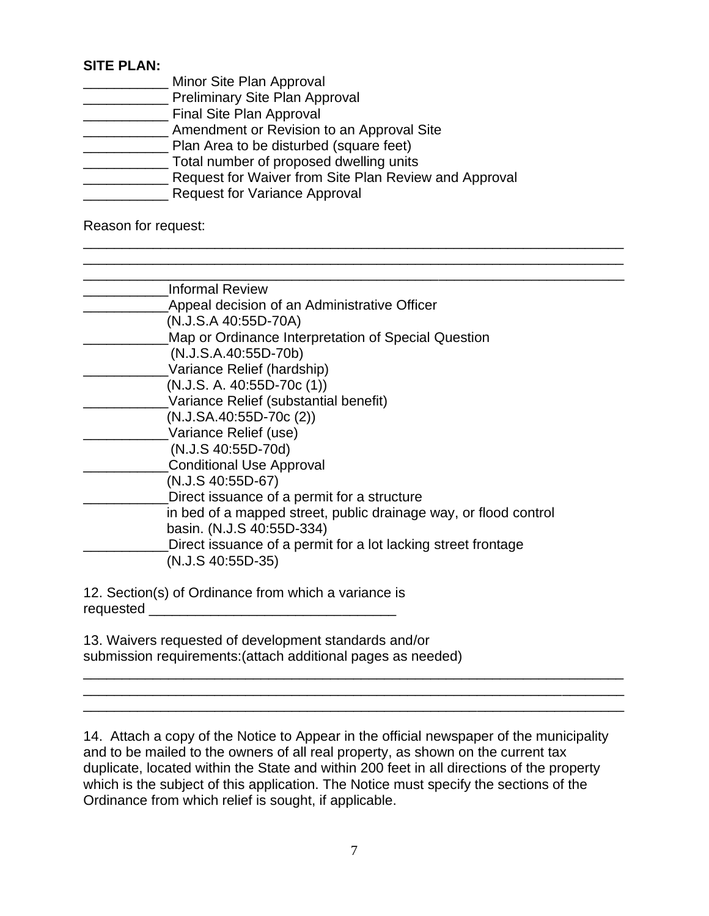# **SITE PLAN:**

- **Minor Site Plan Approval EXECUTE:** Preliminary Site Plan Approval **Example 2** Final Site Plan Approval **EXECUTE:** Amendment or Revision to an Approval Site \_\_\_\_\_\_\_\_\_\_\_ Plan Area to be disturbed (square feet) \_\_\_\_\_\_\_\_\_\_\_ Total number of proposed dwelling units **EXALLET 2018 2018 THE REPORT FROM STATE CONCROOT** Request for Waiver from Site Plan Review and Approval
- **EXALLE 20 EXALLE 20 EXALLE 20 EXALLE 20 EXALLE 20 EXALLE 20 EXALLE 20 EXALLE 20 EXALLE 20 EXALLE 20 EXALLE 20**

Reason for request:

| <b>Informal Review</b>                                           |
|------------------------------------------------------------------|
| Appeal decision of an Administrative Officer                     |
| (N.J.S.A 40:55D-70A)                                             |
| Map or Ordinance Interpretation of Special Question              |
| (N.J.S.A.40:55D-70b)                                             |
| Variance Relief (hardship)                                       |
| $(N.J.S. A. 40:55D-70c(1))$                                      |
| Variance Relief (substantial benefit)                            |
| $(N.J.SA.40:55D-70c(2))$                                         |
| Variance Relief (use)                                            |
| (N.J.S 40:55D-70d)                                               |
| <b>Conditional Use Approval</b>                                  |
| $(N.J.S. 40:55D-67)$                                             |
| Direct issuance of a permit for a structure                      |
| in bed of a mapped street, public drainage way, or flood control |
| basin. (N.J.S 40:55D-334)                                        |
| Direct issuance of a permit for a lot lacking street frontage    |
| $(N.J.S. 40:55D-35)$                                             |
|                                                                  |

\_\_\_\_\_\_\_\_\_\_\_\_\_\_\_\_\_\_\_\_\_\_\_\_\_\_\_\_\_\_\_\_\_\_\_\_\_\_\_\_\_\_\_\_\_\_\_\_\_\_\_\_\_\_\_\_\_\_\_\_\_\_\_\_\_\_\_\_\_\_ \_\_\_\_\_\_\_\_\_\_\_\_\_\_\_\_\_\_\_\_\_\_\_\_\_\_\_\_\_\_\_\_\_\_\_\_\_\_\_\_\_\_\_\_\_\_\_\_\_\_\_\_\_\_\_\_\_\_\_\_\_\_\_\_\_\_\_\_\_\_

12. Section(s) of Ordinance from which a variance is requested \_\_\_\_\_\_\_\_\_\_\_\_\_\_\_\_\_\_\_\_\_\_\_\_\_\_\_\_\_\_\_\_

13. Waivers requested of development standards and/or submission requirements:(attach additional pages as needed)

14. Attach a copy of the Notice to Appear in the official newspaper of the municipality and to be mailed to the owners of all real property, as shown on the current tax duplicate, located within the State and within 200 feet in all directions of the property which is the subject of this application. The Notice must specify the sections of the Ordinance from which relief is sought, if applicable.

\_\_\_\_\_\_\_\_\_\_\_\_\_\_\_\_\_\_\_\_\_\_\_\_\_\_\_\_\_\_\_\_\_\_\_\_\_\_\_\_\_\_\_\_\_\_\_\_\_\_\_\_\_\_\_\_\_\_\_\_\_\_\_\_\_\_\_\_\_\_ \_\_\_\_\_\_\_\_\_\_\_\_\_\_\_\_\_\_\_\_\_\_\_\_\_\_\_\_\_\_\_\_\_\_\_\_\_\_\_\_\_\_\_\_\_\_\_\_\_\_\_\_\_\_\_\_\_\_\_\_\_\_\_\_\_\_\_\_\_\_ \_\_\_\_\_\_\_\_\_\_\_\_\_\_\_\_\_\_\_\_\_\_\_\_\_\_\_\_\_\_\_\_\_\_\_\_\_\_\_\_\_\_\_\_\_\_\_\_\_\_\_\_\_\_\_\_\_\_\_\_\_\_\_\_\_\_\_\_\_\_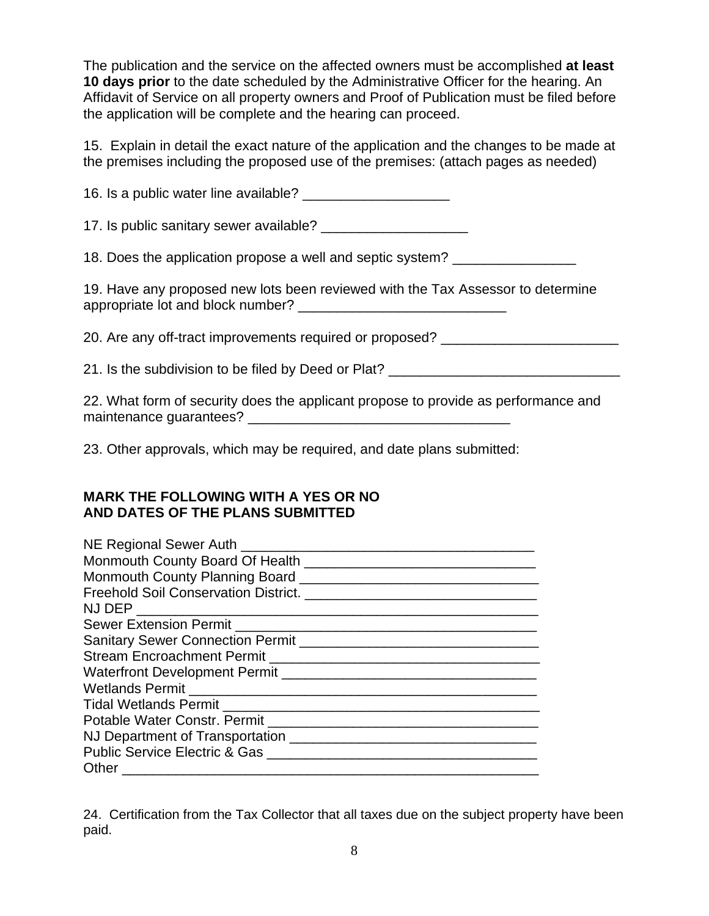The publication and the service on the affected owners must be accomplished **at least 10 days prior** to the date scheduled by the Administrative Officer for the hearing. An Affidavit of Service on all property owners and Proof of Publication must be filed before the application will be complete and the hearing can proceed.

15. Explain in detail the exact nature of the application and the changes to be made at the premises including the proposed use of the premises: (attach pages as needed)

16. Is a public water line available?

17. Is public sanitary sewer available?

18. Does the application propose a well and septic system?

19. Have any proposed new lots been reviewed with the Tax Assessor to determine appropriate lot and block number? \_\_\_\_\_\_\_\_\_\_\_\_\_\_\_\_\_\_\_\_\_\_\_\_\_\_\_

20. Are any off-tract improvements required or proposed?

21. Is the subdivision to be filed by Deed or Plat?

22. What form of security does the applicant propose to provide as performance and maintenance guarantees? \_\_\_\_\_\_\_\_\_\_\_\_\_\_\_\_\_\_\_\_\_\_\_\_\_\_\_\_\_\_\_\_\_\_

23. Other approvals, which may be required, and date plans submitted:

# **MARK THE FOLLOWING WITH A YES OR NO AND DATES OF THE PLANS SUBMITTED**

| NE Regional Sewer Auth <b>Network</b> 2012 12:20 12:20                                                                                                                                                                                                                            |
|-----------------------------------------------------------------------------------------------------------------------------------------------------------------------------------------------------------------------------------------------------------------------------------|
|                                                                                                                                                                                                                                                                                   |
| Sanitary Sewer Connection Permit <b>Connection</b> Permit <b>Connection</b> Permit <b>Connection</b> Permit <b>Connection</b> Permit <b>Connection</b> Permit <b>Connection</b> Permit <b>Connection</b> Permit <b>Connection</b> Permit <b>Connection</b> Permit <b>Connecti</b> |
|                                                                                                                                                                                                                                                                                   |
|                                                                                                                                                                                                                                                                                   |
|                                                                                                                                                                                                                                                                                   |
|                                                                                                                                                                                                                                                                                   |
|                                                                                                                                                                                                                                                                                   |
|                                                                                                                                                                                                                                                                                   |
| Public Service Electric & Gas                                                                                                                                                                                                                                                     |
|                                                                                                                                                                                                                                                                                   |

24. Certification from the Tax Collector that all taxes due on the subject property have been paid.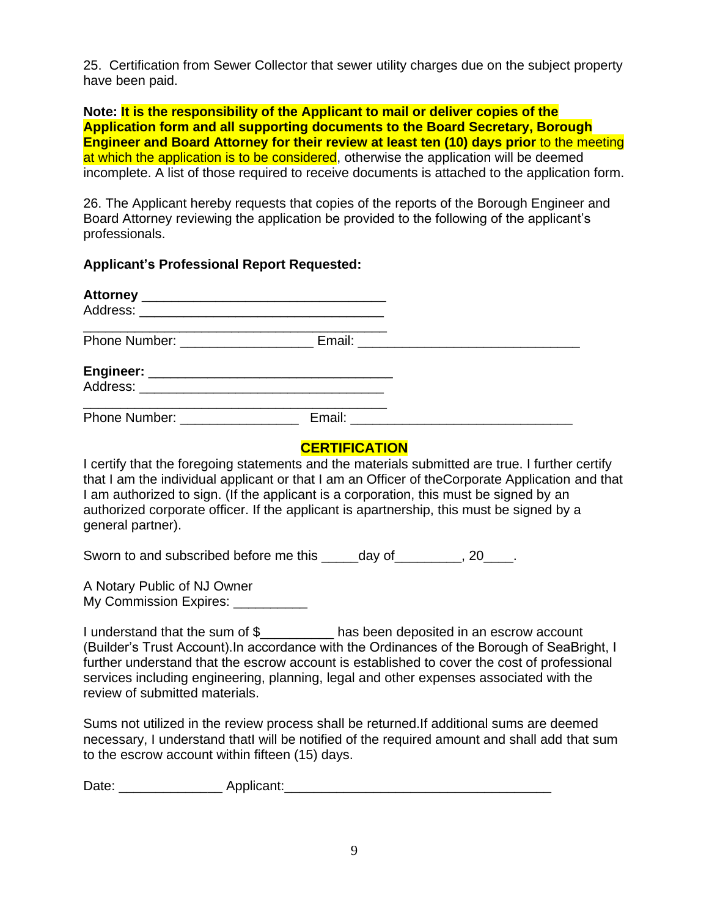25. Certification from Sewer Collector that sewer utility charges due on the subject property have been paid.

**Note: It is the responsibility of the Applicant to mail or deliver copies of the Application form and all supporting documents to the Board Secretary, Borough Engineer and Board Attorney for their review at least ten (10) days prior** to the meeting at which the application is to be considered, otherwise the application will be deemed incomplete. A list of those required to receive documents is attached to the application form.

26. The Applicant hereby requests that copies of the reports of the Borough Engineer and Board Attorney reviewing the application be provided to the following of the applicant's professionals.

**Applicant's Professional Report Requested:**

| Phone Number: ________________ | Email: <u>_________________________</u> |
|--------------------------------|-----------------------------------------|

# **CERTIFICATION**

I certify that the foregoing statements and the materials submitted are true. I further certify that I am the individual applicant or that I am an Officer of theCorporate Application and that I am authorized to sign. (If the applicant is a corporation, this must be signed by an authorized corporate officer. If the applicant is apartnership, this must be signed by a general partner).

Sworn to and subscribed before me this \_\_\_\_day of \_\_\_\_\_\_\_, 20\_\_\_\_.

A Notary Public of NJ Owner My Commission Expires:

I understand that the sum of \$\_\_\_\_\_\_\_\_\_\_ has been deposited in an escrow account (Builder's Trust Account).In accordance with the Ordinances of the Borough of SeaBright, I further understand that the escrow account is established to cover the cost of professional services including engineering, planning, legal and other expenses associated with the review of submitted materials.

Sums not utilized in the review process shall be returned.If additional sums are deemed necessary, I understand thatI will be notified of the required amount and shall add that sum to the escrow account within fifteen (15) days.

Date: \_\_\_\_\_\_\_\_\_\_\_\_\_\_ Applicant:\_\_\_\_\_\_\_\_\_\_\_\_\_\_\_\_\_\_\_\_\_\_\_\_\_\_\_\_\_\_\_\_\_\_\_\_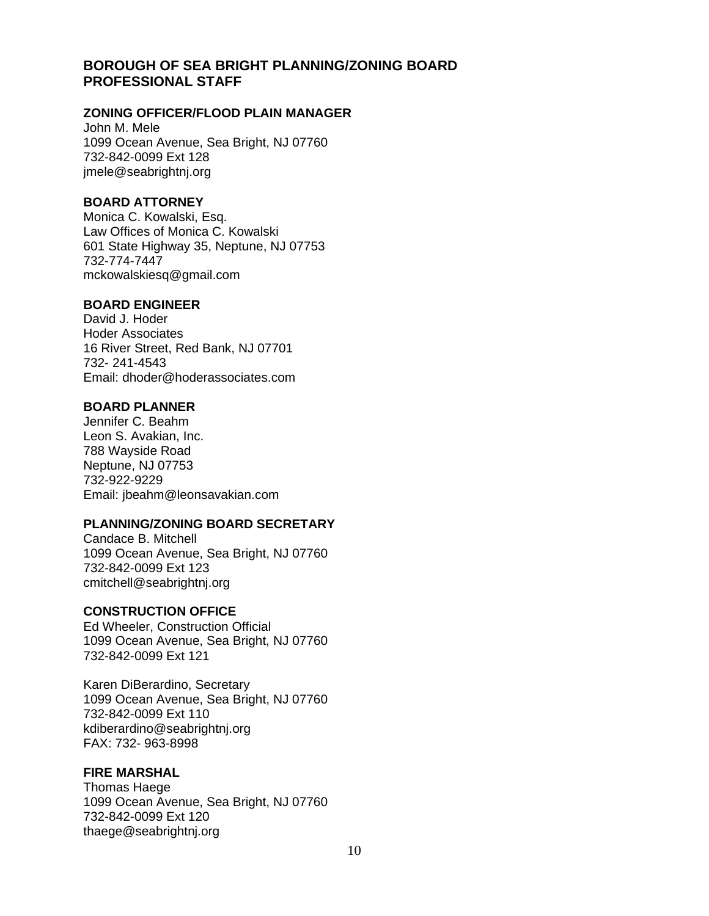### **BOROUGH OF SEA BRIGHT PLANNING/ZONING BOARD PROFESSIONAL STAFF**

#### **ZONING OFFICER/FLOOD PLAIN MANAGER**

John M. Mele 1099 Ocean Avenue, Sea Bright, NJ 07760 732-842-0099 Ext 128 [jmele@seabrightnj.org](mailto:jmele@seabrightnj.org)

#### **BOARD ATTORNEY**

Monica C. Kowalski, Esq. Law Offices of Monica C. Kowalski 601 State Highway 35, Neptune, NJ 07753 732-774-7447 mckowalskiesq@gmail.com

#### **BOARD ENGINEER**

David J. Hoder Hoder Associates 16 River Street, Red Bank, NJ 07701 732- 241-4543 Email: [dhoder@hoderassociates.com](mailto:dhoder@hoderassociates.com)

#### **BOARD PLANNER**

Jennifer C. Beahm Leon S. Avakian, Inc. 788 Wayside Road Neptune, NJ 07753 732-922-9229 Email: [jbeahm@leonsavakian.com](mailto:jbeahm@leonsavakian.com)

### **PLANNING/ZONING BOARD SECRETARY**

Candace B. Mitchell 1099 Ocean Avenue, Sea Bright, NJ 07760 732-842-0099 Ext 123 cmitchell@seabrightnj.org

### **CONSTRUCTION OFFICE**

Ed Wheeler, Construction Official 1099 Ocean Avenue, Sea Bright, NJ 07760 732-842-0099 Ext 121

Karen DiBerardino, Secretary 1099 Ocean Avenue, Sea Bright, NJ 07760 732-842-0099 Ext 110 kdiberardino@seabrightnj.org FAX: 732- 963-8998

### **FIRE MARSHAL**

Thomas Haege 1099 Ocean Avenue, Sea Bright, NJ 07760 732-842-0099 Ext 120 thaege@seabrightnj.org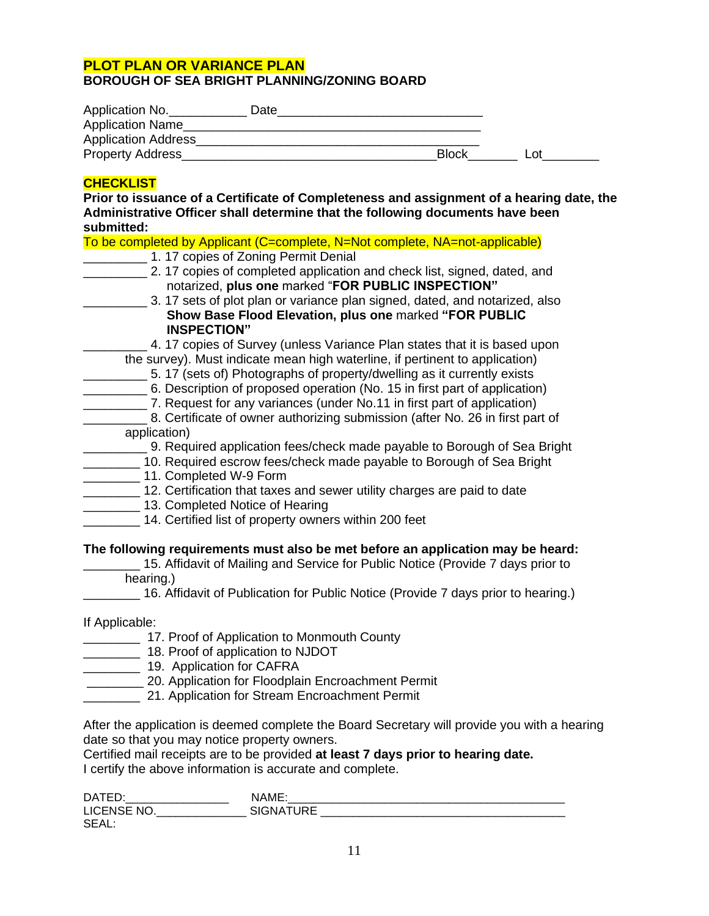# **PLOT PLAN OR VARIANCE PLAN**

#### **BOROUGH OF SEA BRIGHT PLANNING/ZONING BOARD**

| Application No.            | Date |              |     |
|----------------------------|------|--------------|-----|
| <b>Application Name</b>    |      |              |     |
| <b>Application Address</b> |      |              |     |
| <b>Property Address</b>    |      | <b>Block</b> | ∟ot |

### **CHECKLIST**

**Prior to issuance of a Certificate of Completeness and assignment of a hearing date, the Administrative Officer shall determine that the following documents have been submitted:** 

To be completed by Applicant (C=complete, N=Not complete, NA=not-applicable)

- 1. 17 copies of Zoning Permit Denial
- **\_\_\_\_\_\_\_\_\_** 2. 17 copies of completed application and check list, signed, dated, and notarized, **plus one** marked "**FOR PUBLIC INSPECTION"**
- \_\_\_\_\_\_\_\_\_ 3. 17 sets of plot plan or variance plan signed, dated, and notarized, also **Show Base Flood Elevation, plus one** marked **"FOR PUBLIC INSPECTION"**
	- 4. 17 copies of Survey (unless Variance Plan states that it is based upon the survey). Must indicate mean high waterline, if pertinent to application)
		- \_\_\_\_\_\_\_\_\_ 5. 17 (sets of) Photographs of property/dwelling as it currently exists
- \_\_\_\_\_\_\_\_\_ 6. Description of proposed operation (No. 15 in first part of application)
- \_\_\_\_\_\_\_\_\_ 7. Request for any variances (under No.11 in first part of application)
- \_\_\_\_\_\_\_\_\_ 8. Certificate of owner authorizing submission (after No. 26 in first part of application)
	- **2008** 9. Required application fees/check made payable to Borough of Sea Bright
- **\_\_\_\_\_\_\_\_** 10. Required escrow fees/check made payable to Borough of Sea Bright
- \_\_\_\_\_\_\_\_ 11. Completed W-9 Form
- 12. Certification that taxes and sewer utility charges are paid to date
- **LECTER** 13. Completed Notice of Hearing
	- \_\_\_\_\_\_\_\_ 14. Certified list of property owners within 200 feet

### **The following requirements must also be met before an application may be heard:**

15. Affidavit of Mailing and Service for Public Notice (Provide 7 days prior to hearing.)

\_\_\_\_\_\_\_\_ 16. Affidavit of Publication for Public Notice (Provide 7 days prior to hearing.)

If Applicable:

- 17. Proof of Application to Monmouth County
- \_\_\_\_\_\_\_\_ 18. Proof of application to NJDOT
- **\_\_\_\_\_\_\_\_\_\_\_\_ 19. Application for CAFRA**
- \_\_\_\_\_\_\_\_ 20. Application for Floodplain Encroachment Permit
- 21. Application for Stream Encroachment Permit

After the application is deemed complete the Board Secretary will provide you with a hearing date so that you may notice property owners.

Certified mail receipts are to be provided **at least 7 days prior to hearing date.** I certify the above information is accurate and complete.

| <b>DATEL</b>                                |                    |
|---------------------------------------------|--------------------|
| $\cdot$ NIC<br>LICENSE.<br>∸'<br>__________ | THDE<br>ST.<br>eΝΔ |
| <b>SEA</b>                                  |                    |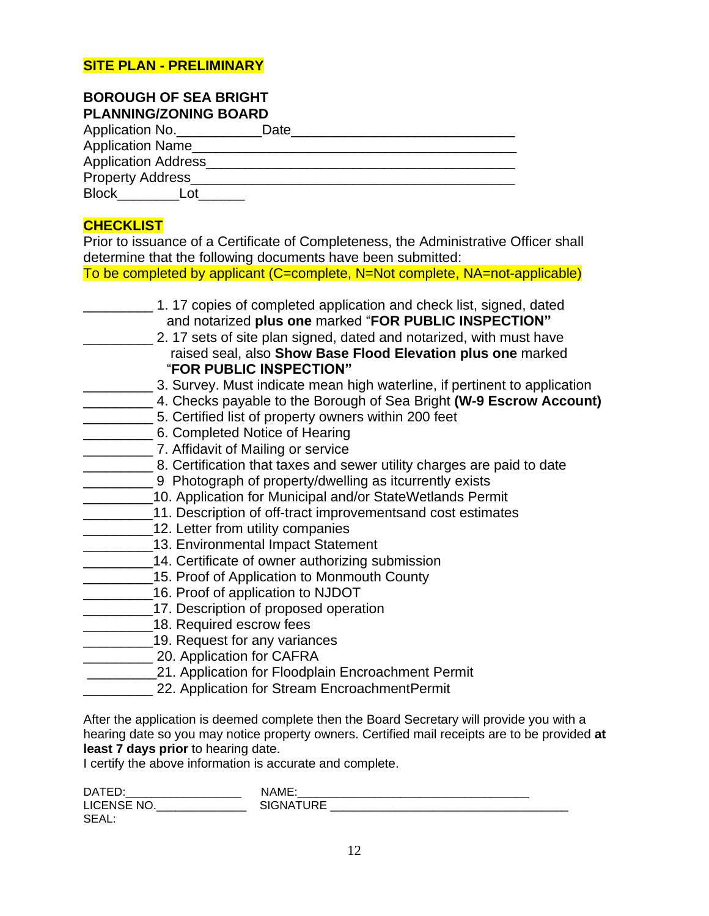## **SITE PLAN - PRELIMINARY**

## **BOROUGH OF SEA BRIGHT PLANNING/ZONING BOARD**

| Application No.            | Date |
|----------------------------|------|
| <b>Application Name</b>    |      |
| <b>Application Address</b> |      |
| <b>Property Address</b>    |      |
| <b>Block</b>               |      |

# **CHECKLIST**

Prior to issuance of a Certificate of Completeness, the Administrative Officer shall determine that the following documents have been submitted:

To be completed by applicant (C=complete, N=Not complete, NA=not-applicable)

| 1.17 copies of completed application and check list, signed, dated<br>and notarized plus one marked "FOR PUBLIC INSPECTION"<br>2.17 sets of site plan signed, dated and notarized, with must have<br>raised seal, also Show Base Flood Elevation plus one marked<br>"FOR PUBLIC INSPECTION" |
|---------------------------------------------------------------------------------------------------------------------------------------------------------------------------------------------------------------------------------------------------------------------------------------------|
| 3. Survey. Must indicate mean high waterline, if pertinent to application                                                                                                                                                                                                                   |
| 4. Checks payable to the Borough of Sea Bright (W-9 Escrow Account)                                                                                                                                                                                                                         |
| 5. Certified list of property owners within 200 feet                                                                                                                                                                                                                                        |
| 6. Completed Notice of Hearing                                                                                                                                                                                                                                                              |
| 7. Affidavit of Mailing or service                                                                                                                                                                                                                                                          |
| 8. Certification that taxes and sewer utility charges are paid to date                                                                                                                                                                                                                      |
| 9 Photograph of property/dwelling as itcurrently exists                                                                                                                                                                                                                                     |
| 10. Application for Municipal and/or StateWetlands Permit                                                                                                                                                                                                                                   |
| 11. Description of off-tract improvementsand cost estimates                                                                                                                                                                                                                                 |
| 12. Letter from utility companies                                                                                                                                                                                                                                                           |
| 13. Environmental Impact Statement                                                                                                                                                                                                                                                          |
| 14. Certificate of owner authorizing submission                                                                                                                                                                                                                                             |
| 15. Proof of Application to Monmouth County                                                                                                                                                                                                                                                 |
| 16. Proof of application to NJDOT                                                                                                                                                                                                                                                           |
| 17. Description of proposed operation                                                                                                                                                                                                                                                       |
| 18. Required escrow fees                                                                                                                                                                                                                                                                    |
| 19. Request for any variances                                                                                                                                                                                                                                                               |
| 20. Application for CAFRA                                                                                                                                                                                                                                                                   |
| 21. Application for Floodplain Encroachment Permit                                                                                                                                                                                                                                          |
| 22. Application for Stream EncroachmentPermit                                                                                                                                                                                                                                               |
|                                                                                                                                                                                                                                                                                             |

After the application is deemed complete then the Board Secretary will provide you with a hearing date so you may notice property owners. Certified mail receipts are to be provided **at least 7 days prior** to hearing date.

I certify the above information is accurate and complete.

| <b>DATE</b>                                     | NAME |
|-------------------------------------------------|------|
| N <sub>IC</sub><br>$\cdot$ ICENSE $\cdot$<br>∼י |      |
| <b>SEAL</b>                                     |      |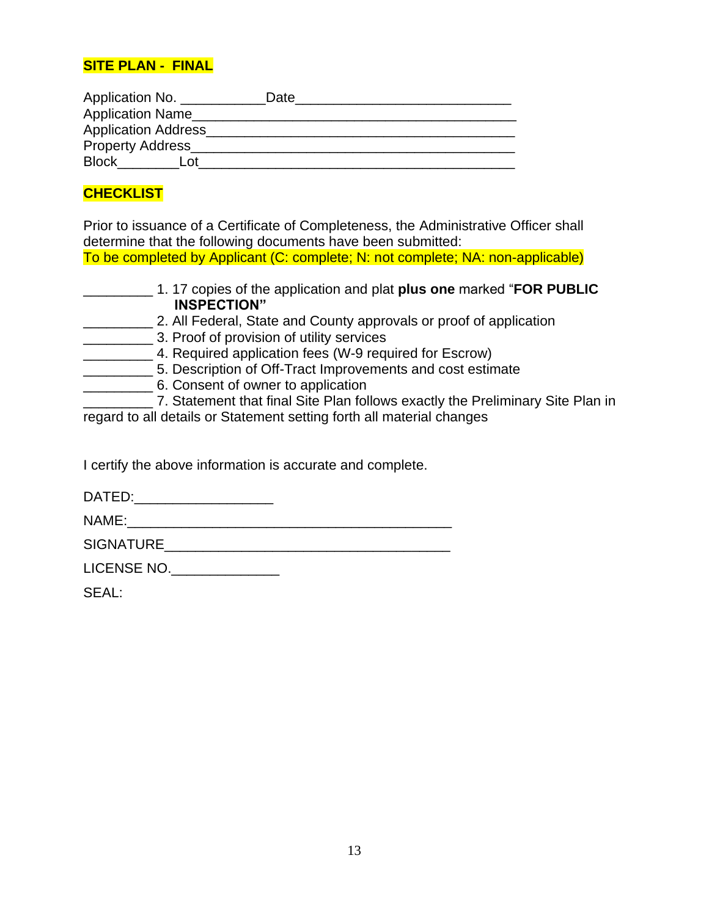## **SITE PLAN - FINAL**

| Application No.            | Date |
|----------------------------|------|
| <b>Application Name</b>    |      |
| <b>Application Address</b> |      |
| <b>Property Address</b>    |      |
| <b>Block</b><br>l ∩t       |      |

# **CHECKLIST**

Prior to issuance of a Certificate of Completeness, the Administrative Officer shall determine that the following documents have been submitted: To be completed by Applicant (C: complete; N: not complete; NA: non-applicable)

- \_\_\_\_\_\_\_\_\_ 1. 17 copies of the application and plat **plus one** marked "**FOR PUBLIC INSPECTION"**
- \_\_\_\_\_\_\_\_\_ 2. All Federal, State and County approvals or proof of application
- \_\_\_\_\_\_\_\_\_ 3. Proof of provision of utility services
- \_\_\_\_\_\_\_\_\_ 4. Required application fees (W-9 required for Escrow)
- \_\_\_\_\_\_\_\_\_ 5. Description of Off-Tract Improvements and cost estimate
- \_\_\_\_\_\_\_\_\_ 6. Consent of owner to application

7. Statement that final Site Plan follows exactly the Preliminary Site Plan in regard to all details or Statement setting forth all material changes

I certify the above information is accurate and complete.

DATED:

NAME:

SIGNATURE **External state of the set of the set of the set of the set of the set of the set of the set of the set of the set of the set of the set of the set of the set of the set of the set of the set of the set of the se** 

LICENSE NO.\_\_\_\_\_\_\_\_\_\_\_\_\_\_\_

SEAL: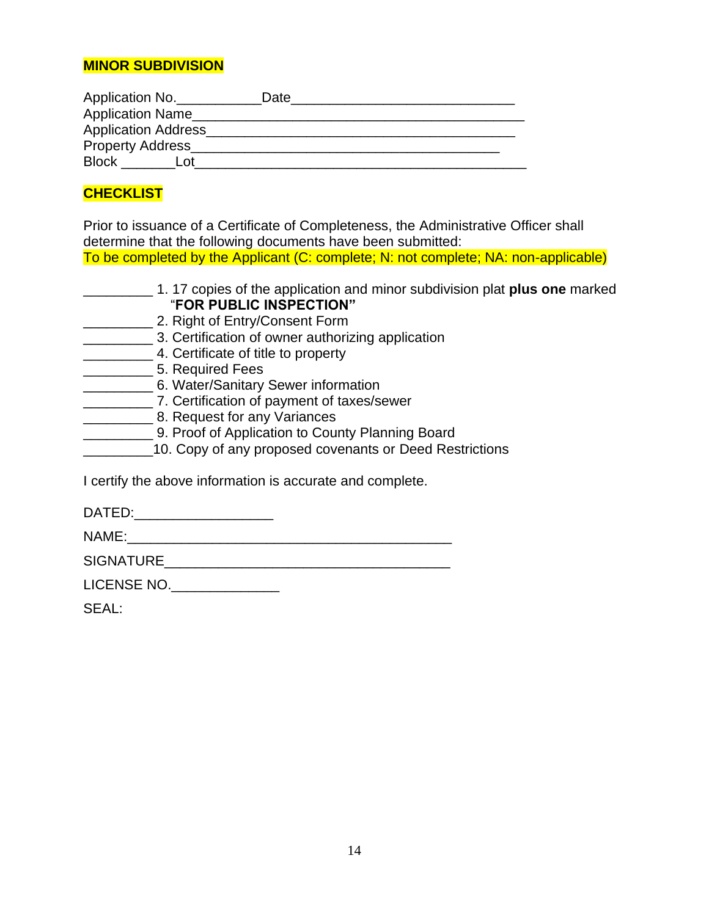## **MINOR SUBDIVISION**

| Application No.            | Date |
|----------------------------|------|
| <b>Application Name</b>    |      |
| <b>Application Address</b> |      |
| <b>Property Address</b>    |      |
| <b>Block</b><br>∟ ∩t       |      |

# **CHECKLIST**

Prior to issuance of a Certificate of Completeness, the Administrative Officer shall determine that the following documents have been submitted: To be completed by the Applicant (C: complete; N: not complete; NA: non-applicable)

- \_\_\_\_\_\_\_\_\_ 1. 17 copies of the application and minor subdivision plat **plus one** marked "**FOR PUBLIC INSPECTION"**
- \_\_\_\_\_\_\_\_\_ 2. Right of Entry/Consent Form
- **EXECUTE:** 3. Certification of owner authorizing application
- \_\_\_\_\_\_\_\_\_ 4. Certificate of title to property
- \_\_\_\_\_\_\_\_\_ 5. Required Fees
- \_\_\_\_\_\_\_\_\_ 6. Water/Sanitary Sewer information
- \_\_\_\_\_\_\_\_\_ 7. Certification of payment of taxes/sewer
- \_\_\_\_\_\_\_\_\_ 8. Request for any Variances
- **EXECUTE:** 9. Proof of Application to County Planning Board
- \_\_\_\_\_\_\_\_\_10. Copy of any proposed covenants or Deed Restrictions

I certify the above information is accurate and complete.

DATED:\_\_\_\_\_\_\_\_\_\_\_\_\_\_\_\_\_\_

NAME:\_\_\_\_\_\_\_\_\_\_\_\_\_\_\_\_\_\_\_\_\_\_\_\_\_\_\_\_\_\_\_\_\_\_\_\_\_\_\_\_\_\_

SIGNATURE **External state of the set of the set of the set of the set of the set of the set of the set of the set of the set of the set of the set of the set of the set of the set of the set of the set of the set of the se** 

LICENSE NO.\_\_\_\_\_\_\_\_\_\_\_\_\_\_

SEAL: